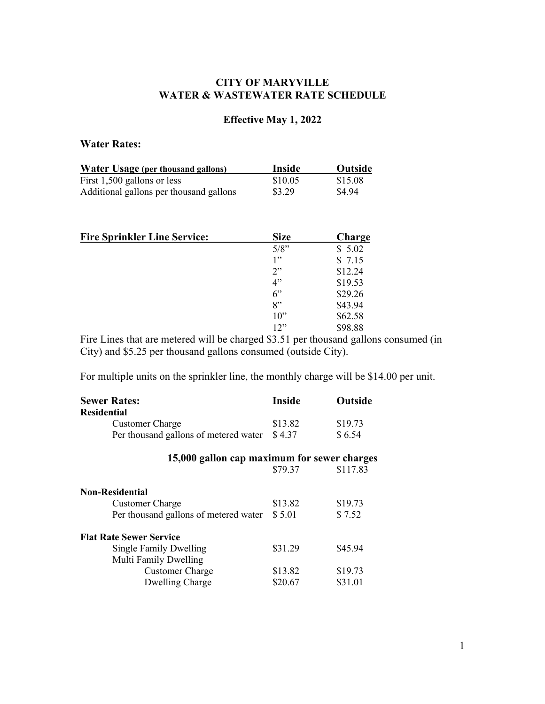# **CITY OF MARYVILLE WATER & WASTEWATER RATE SCHEDULE**

# **Effective May 1, 2022**

# **Water Rates:**

| <b>Water Usage (per thousand gallons)</b> | Inside  | Outside |
|-------------------------------------------|---------|---------|
| First $1,500$ gallons or less             | \$10.05 | \$15.08 |
| Additional gallons per thousand gallons   | \$3.29  | \$4.94  |

| <b>Fire Sprinkler Line Service:</b> | <b>Size</b> | <b>Charge</b> |
|-------------------------------------|-------------|---------------|
|                                     | 5/8"        | \$5.02        |
|                                     | 1"          | \$7.15        |
|                                     | 2"          | \$12.24       |
|                                     | 4"          | \$19.53       |
|                                     | 6"          | \$29.26       |
|                                     | 8"          | \$43.94       |
|                                     | $10$ "      | \$62.58       |
|                                     | 12"         | \$98.88       |

Fire Lines that are metered will be charged \$3.51 per thousand gallons consumed (in City) and \$5.25 per thousand gallons consumed (outside City).

For multiple units on the sprinkler line, the monthly charge will be \$14.00 per unit.

| <b>Sewer Rates:</b>                         | <b>Inside</b> | Outside  |
|---------------------------------------------|---------------|----------|
| <b>Residential</b>                          |               |          |
| <b>Customer Charge</b>                      | \$13.82       | \$19.73  |
| Per thousand gallons of metered water       | \$4.37        | \$6.54   |
| 15,000 gallon cap maximum for sewer charges |               |          |
|                                             | \$79.37       | \$117.83 |
| <b>Non-Residential</b>                      |               |          |
| <b>Customer Charge</b>                      | \$13.82       | \$19.73  |
| Per thousand gallons of metered water       | \$5.01        | \$7.52   |
| <b>Flat Rate Sewer Service</b>              |               |          |
| Single Family Dwelling                      | \$31.29       | \$45.94  |
| Multi Family Dwelling                       |               |          |
| <b>Customer Charge</b>                      | \$13.82       | \$19.73  |
| Dwelling Charge                             | \$20.67       | \$31.01  |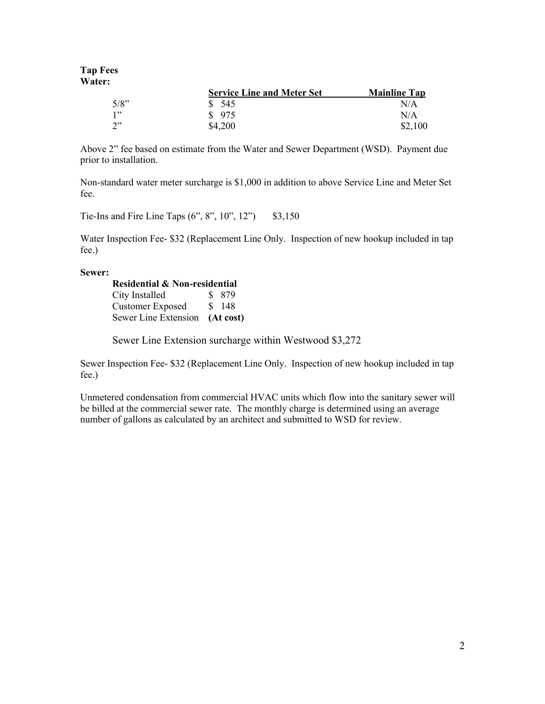### **Tap Fees Water:**

|      | <b>Service Line and Meter Set</b> | <b>Mainline Tap</b> |
|------|-----------------------------------|---------------------|
| 5/8" | \$545                             | N/A                 |
| 1"   | \$975                             | N/A                 |
| יי?  | \$4,200                           | \$2,100             |

Above 2" fee based on estimate from the Water and Sewer Department (WSD). Payment due prior to installation.

Non-standard water meter surcharge is \$1,000 in addition to above Service Line and Meter Set fee.

Tie-Ins and Fire Line Taps  $(6", 8", 10", 12")$  \$3,150

Water Inspection Fee- \$32 (Replacement Line Only. Inspection of new hookup included in tap fee.)

### **Sewer:**

| <b>Residential &amp; Non-residential</b> |  |           |
|------------------------------------------|--|-----------|
| City Installed                           |  | \$ 879    |
| <b>Customer Exposed</b>                  |  | \$148     |
| Sewer Line Extension                     |  | (At cost) |

Sewer Line Extension surcharge within Westwood \$3,272

Sewer Inspection Fee- \$32 (Replacement Line Only. Inspection of new hookup included in tap fee.)

Unmetered condensation from commercial HVAC units which flow into the sanitary sewer will be billed at the commercial sewer rate. The monthly charge is determined using an average number of gallons as calculated by an architect and submitted to WSD for review.